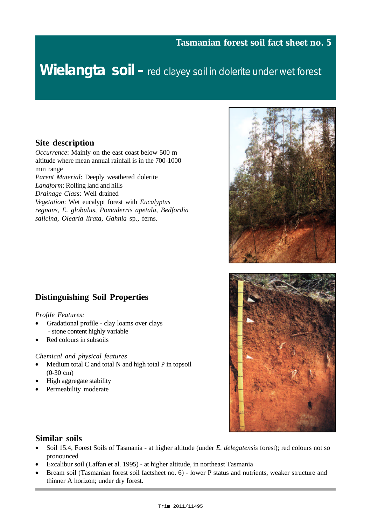# Wielangta soil – red clayey soil in dolerite under wet forest

#### **Site description**

*Occurrence*: Mainly on the east coast below 500 m altitude where mean annual rainfall is in the 700-1000 mm range *Parent Material*: Deeply weathered dolerite *Landform*: Rolling land and hills *Drainage Class*: Well drained *Vegetation*: Wet eucalypt forest with *Eucalyptus regnans*, *E. globulus*, *Pomaderris apetala, Bedfordia salicina, Olearia lirata, Gahnia* sp*.,* ferns.

# **Distinguishing Soil Properties**

#### *Profile Features:*

- Gradational profile clay loams over clays - stone content highly variable
- Red colours in subsoils

#### *Chemical and physical features*

- Medium total C and total N and high total P in topsoil (0-30 cm)
- High aggregate stability
- Permeability moderate





#### **Similar soils**

- Soil 15.4, Forest Soils of Tasmania at higher altitude (under *E. delegatensis* forest); red colours not so pronounced
- Excalibur soil (Laffan et al. 1995) at higher altitude, in northeast Tasmania
- Bream soil (Tasmanian forest soil factsheet no. 6) lower P status and nutrients, weaker structure and thinner A horizon; under dry forest.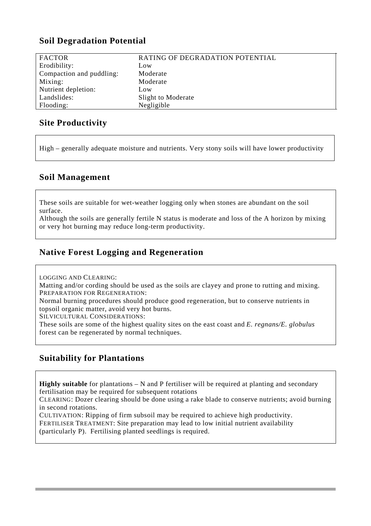# **Soil Degradation Potential**

| <b>FACTOR</b>            | RATING OF DEGRADATION POTENTIAL |
|--------------------------|---------------------------------|
| Erodibility:             | Low                             |
| Compaction and puddling: | Moderate                        |
| Mixing:                  | Moderate                        |
| Nutrient depletion:      | Low                             |
| Landslides:              | Slight to Moderate              |
| Flooding:                | Negligible                      |

# **Site Productivity**

High – generally adequate moisture and nutrients. Very stony soils will have lower productivity

## **Soil Management**

These soils are suitable for wet-weather logging only when stones are abundant on the soil surface.

Although the soils are generally fertile N status is moderate and loss of the A horizon by mixing or very hot burning may reduce long-term productivity.

# **Native Forest Logging and Regeneration**

LOGGING AND CLEARING:

Matting and/or cording should be used as the soils are clayey and prone to rutting and mixing. PREPARATION FOR REGENERATION:

Normal burning procedures should produce good regeneration, but to conserve nutrients in topsoil organic matter, avoid very hot burns.

SILVICULTURAL CONSIDERATIONS:

These soils are some of the highest quality sites on the east coast and *E. regnans/E. globulus* forest can be regenerated by normal techniques.

# **Suitability for Plantations**

**Highly suitable** for plantations – N and P fertiliser will be required at planting and secondary fertilisation may be required for subsequent rotations

CLEARING: Dozer clearing should be done using a rake blade to conserve nutrients; avoid burning in second rotations.

CULTIVATION: Ripping of firm subsoil may be required to achieve high productivity. FERTILISER TREATMENT: Site preparation may lead to low initial nutrient availability (particularly P). Fertilising planted seedlings is required.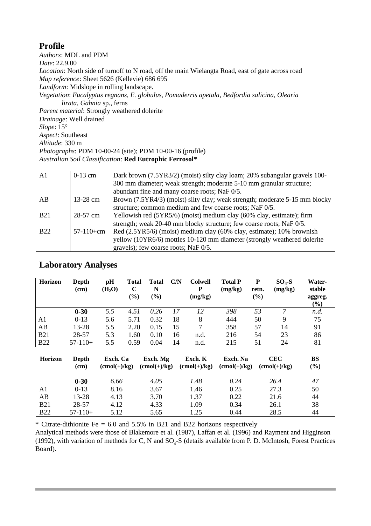## **Profile**

*Authors*: MDL and PDM *Date*: 22.9.00 *Location*: North side of turnoff to N road, off the main Wielangta Road, east of gate across road *Map reference*: Sheet 5626 (Kellevie) 686 695 *Landform*: Midslope in rolling landscape. *Vegetation*: *Eucalyptus regnans*, *E. globulus*, *Pomaderris apetala, Bedfordia salicina, Olearia lirata, Gahnia* sp*.,* ferns *Parent material*: Strongly weathered dolerite *Drainage*: Well drained *Slope*: 15° *Aspect*: Southeast *Altitude*: 330 m *Photographs*: PDM 10-00-24 (site); PDM 10-00-16 (profile) *Australian Soil Classification*: **Red Eutrophic Ferrosol\***

| A <sub>1</sub> | $0-13$ cm   | Dark brown (7.5YR3/2) (moist) silty clay loam; 20% subangular gravels 100-  |
|----------------|-------------|-----------------------------------------------------------------------------|
|                |             | 300 mm diameter; weak strength; moderate 5-10 mm granular structure;        |
|                |             | abundant fine and many coarse roots; NaF 0/5.                               |
| AB             | $13-28$ cm  | Brown (7.5YR4/3) (moist) silty clay; weak strength; moderate 5-15 mm blocky |
|                |             | structure; common medium and few coarse roots; NaF 0/5.                     |
| <b>B21</b>     | $28-57$ cm  | Yellowish red (5YR5/6) (moist) medium clay (60% clay, estimate); firm       |
|                |             | strength; weak 20-40 mm blocky structure; few coarse roots; NaF 0/5.        |
| <b>B22</b>     | $57-110+cm$ | Red (2.5YR5/6) (moist) medium clay (60% clay, estimate); 10% brownish       |
|                |             | yellow (10YR6/6) mottles 10-120 mm diameter (strongly weathered dolerite    |
|                |             | gravels); few coarse roots; NaF 0/5.                                        |

### **Laboratory Analyses**

| <b>Horizon</b> | Depth<br>(cm) | pH<br>(H <sub>2</sub> O) | <b>Total</b><br>C<br>$\left( \frac{9}{6} \right)$ | Total<br>N<br>$(\%)$ | C/N | <b>Colwell</b><br>P<br>(mg/kg) | <b>Total P</b><br>(mg/kg) | P<br>retn.<br>$\left( \frac{9}{6} \right)$ | $SO4-S$<br>(mg/kg) | <b>Water-</b><br>stable<br>aggreg.<br>$(\%)$ |
|----------------|---------------|--------------------------|---------------------------------------------------|----------------------|-----|--------------------------------|---------------------------|--------------------------------------------|--------------------|----------------------------------------------|
|                | $0 - 30$      | 5.5                      | 4.51                                              | 0.26                 | 17  | 12                             | 398                       | 53                                         |                    | n.d.                                         |
| A1             | $0-13$        | 5.6                      | 5.71                                              | 0.32                 | 18  | 8                              | 444                       | 50                                         | 9                  | 75                                           |
| AB             | 13-28         | 5.5                      | 2.20                                              | 0.15                 | 15  |                                | 358                       | 57                                         | 14                 | 91                                           |
| <b>B21</b>     | 28-57         | 5.3                      | 1.60                                              | 0.10                 | 16  | n.d.                           | 216                       | 54                                         | 23                 | 86                                           |
| <b>B22</b>     | $57-110+$     | 5.5                      | 0.59                                              | 0.04                 | 14  | n.d.                           | 215                       | 51                                         | 24                 | 81                                           |

| <b>Horizon</b> | Depth<br>(cm) | Exch. Ca<br>$(\text{cmol}(+)/\text{kg})$ | Exch. Mg<br>$(cmol(+)/kg)$ | Exch. K<br>$(\text{cmol}(+)/\text{kg})$ | Exch. Na<br>$\text{(cmol}(+)$ /kg) | <b>CEC</b><br>$(cmol(+)/kg)$ | <b>BS</b><br>$(\%)$ |
|----------------|---------------|------------------------------------------|----------------------------|-----------------------------------------|------------------------------------|------------------------------|---------------------|
|                | $0 - 30$      | 6.66                                     | 4.05                       | 1.48                                    | 0.24                               | 26.4                         | 47                  |
| A1             | $0-13$        | 8.16                                     | 3.67                       | 1.46                                    | 0.25                               | 27.3                         | 50                  |
| AB             | 13-28         | 4.13                                     | 3.70                       | 1.37                                    | 0.22                               | 21.6                         | 44                  |
| <b>B21</b>     | 28-57         | 4.12                                     | 4.33                       | 1.09                                    | 0.34                               | 26.1                         | 38                  |
| <b>B22</b>     | $57-110+$     | 5.12                                     | 5.65                       | 1.25                                    | 0.44                               | 28.5                         | 44                  |

\* Citrate-dithionite Fe =  $6.0$  and  $5.5\%$  in B21 and B22 horizons respectively

Analytical methods were those of Blakemore et al. (1987), Laffan et al. (1996) and Rayment and Higginson (1992), with variation of methods for C, N and  $SO_4$ -S (details available from P. D. McIntosh, Forest Practices Board).